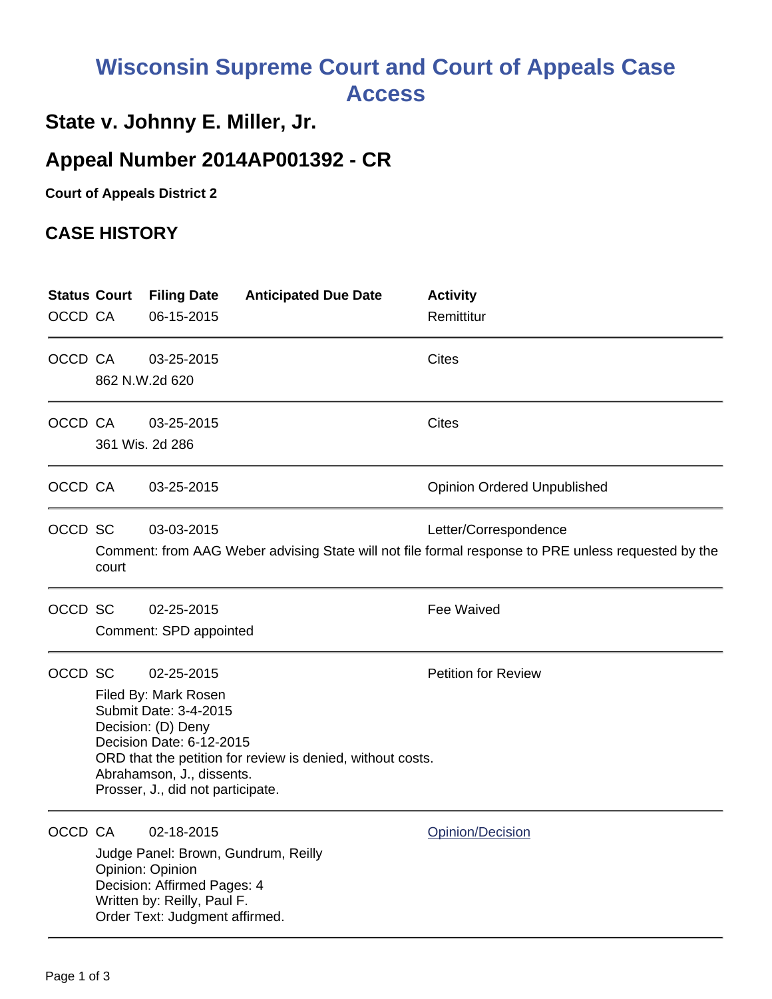## **Wisconsin Supreme Court and Court of Appeals Case Access**

## **State v. Johnny E. Miller, Jr.**

## **Appeal Number 2014AP001392 - CR**

**Court of Appeals District 2**

## **CASE HISTORY**

| <b>Status Court</b><br>OCCD CA |                                                                                                                                                                                                                                                                             | <b>Filing Date</b><br>06-15-2015                                                                                               | <b>Anticipated Due Date</b>         | <b>Activity</b><br>Remittitur                                                                                                |
|--------------------------------|-----------------------------------------------------------------------------------------------------------------------------------------------------------------------------------------------------------------------------------------------------------------------------|--------------------------------------------------------------------------------------------------------------------------------|-------------------------------------|------------------------------------------------------------------------------------------------------------------------------|
| OCCD CA                        | 862 N.W.2d 620                                                                                                                                                                                                                                                              | 03-25-2015                                                                                                                     |                                     | Cites                                                                                                                        |
| OCCD CA                        | 361 Wis. 2d 286                                                                                                                                                                                                                                                             | 03-25-2015                                                                                                                     |                                     | <b>Cites</b>                                                                                                                 |
| OCCD CA                        |                                                                                                                                                                                                                                                                             | 03-25-2015                                                                                                                     |                                     | <b>Opinion Ordered Unpublished</b>                                                                                           |
| OCCD SC                        | court                                                                                                                                                                                                                                                                       | 03-03-2015                                                                                                                     |                                     | Letter/Correspondence<br>Comment: from AAG Weber advising State will not file formal response to PRE unless requested by the |
| OCCD SC                        |                                                                                                                                                                                                                                                                             | 02-25-2015<br>Comment: SPD appointed                                                                                           |                                     | <b>Fee Waived</b>                                                                                                            |
| OCCD SC                        | <b>Petition for Review</b><br>02-25-2015<br>Filed By: Mark Rosen<br>Submit Date: 3-4-2015<br>Decision: (D) Deny<br>Decision Date: 6-12-2015<br>ORD that the petition for review is denied, without costs.<br>Abrahamson, J., dissents.<br>Prosser, J., did not participate. |                                                                                                                                |                                     |                                                                                                                              |
| OCCD CA                        |                                                                                                                                                                                                                                                                             | 02-18-2015<br>Opinion: Opinion<br>Decision: Affirmed Pages: 4<br>Written by: Reilly, Paul F.<br>Order Text: Judgment affirmed. | Judge Panel: Brown, Gundrum, Reilly | Opinion/Decision                                                                                                             |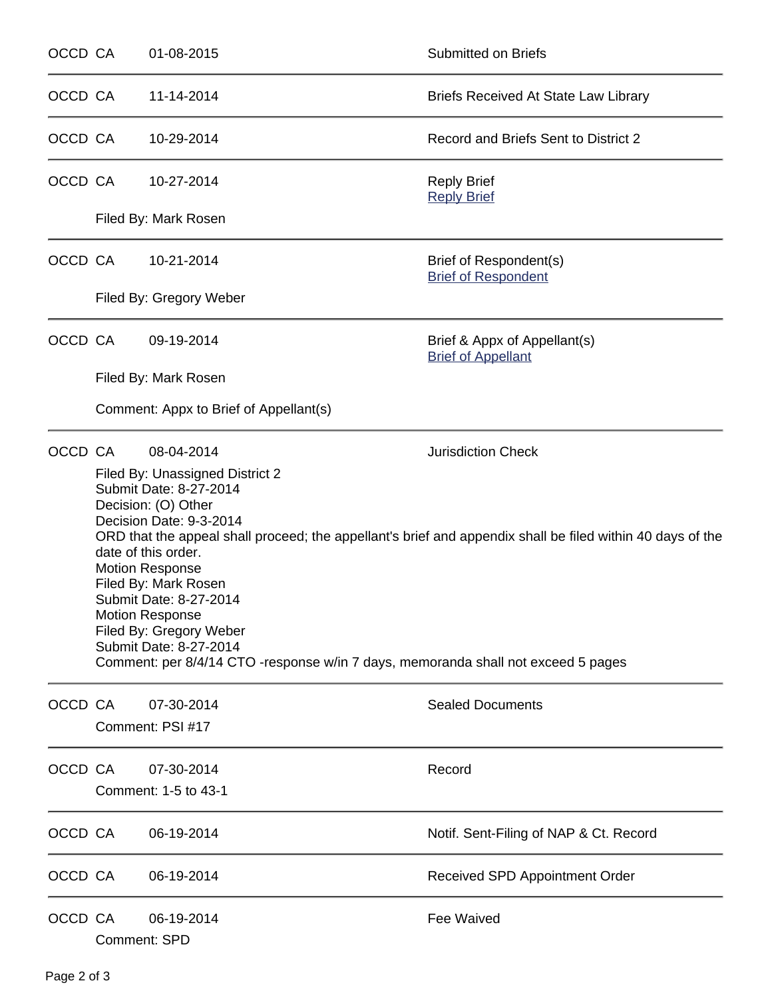| OCCD CA |                                                                                                                                                                                                                                                                                                                                                                                                                                                                                                  | 01-08-2015                             | Submitted on Briefs                                       |  |  |  |
|---------|--------------------------------------------------------------------------------------------------------------------------------------------------------------------------------------------------------------------------------------------------------------------------------------------------------------------------------------------------------------------------------------------------------------------------------------------------------------------------------------------------|----------------------------------------|-----------------------------------------------------------|--|--|--|
| OCCD CA |                                                                                                                                                                                                                                                                                                                                                                                                                                                                                                  | 11-14-2014                             | <b>Briefs Received At State Law Library</b>               |  |  |  |
| OCCD CA |                                                                                                                                                                                                                                                                                                                                                                                                                                                                                                  | 10-29-2014                             | Record and Briefs Sent to District 2                      |  |  |  |
| OCCD CA |                                                                                                                                                                                                                                                                                                                                                                                                                                                                                                  | 10-27-2014                             | <b>Reply Brief</b><br><b>Reply Brief</b>                  |  |  |  |
|         |                                                                                                                                                                                                                                                                                                                                                                                                                                                                                                  | Filed By: Mark Rosen                   |                                                           |  |  |  |
| OCCD CA |                                                                                                                                                                                                                                                                                                                                                                                                                                                                                                  | 10-21-2014                             | Brief of Respondent(s)<br><b>Brief of Respondent</b>      |  |  |  |
|         |                                                                                                                                                                                                                                                                                                                                                                                                                                                                                                  | Filed By: Gregory Weber                |                                                           |  |  |  |
| OCCD CA |                                                                                                                                                                                                                                                                                                                                                                                                                                                                                                  | 09-19-2014                             | Brief & Appx of Appellant(s)<br><b>Brief of Appellant</b> |  |  |  |
|         |                                                                                                                                                                                                                                                                                                                                                                                                                                                                                                  | Filed By: Mark Rosen                   |                                                           |  |  |  |
|         |                                                                                                                                                                                                                                                                                                                                                                                                                                                                                                  | Comment: Appx to Brief of Appellant(s) |                                                           |  |  |  |
| OCCD CA |                                                                                                                                                                                                                                                                                                                                                                                                                                                                                                  | 08-04-2014                             | <b>Jurisdiction Check</b>                                 |  |  |  |
|         | Filed By: Unassigned District 2<br>Submit Date: 8-27-2014<br>Decision: (O) Other<br>Decision Date: 9-3-2014<br>ORD that the appeal shall proceed; the appellant's brief and appendix shall be filed within 40 days of the<br>date of this order.<br><b>Motion Response</b><br>Filed By: Mark Rosen<br>Submit Date: 8-27-2014<br><b>Motion Response</b><br>Filed By: Gregory Weber<br>Submit Date: 8-27-2014<br>Comment: per 8/4/14 CTO -response w/in 7 days, memoranda shall not exceed 5 pages |                                        |                                                           |  |  |  |
|         |                                                                                                                                                                                                                                                                                                                                                                                                                                                                                                  |                                        |                                                           |  |  |  |
| OCCD CA |                                                                                                                                                                                                                                                                                                                                                                                                                                                                                                  | 07-30-2014<br>Comment: PSI #17         | <b>Sealed Documents</b>                                   |  |  |  |
| OCCD CA |                                                                                                                                                                                                                                                                                                                                                                                                                                                                                                  | 07-30-2014<br>Comment: 1-5 to 43-1     | Record                                                    |  |  |  |
| OCCD CA |                                                                                                                                                                                                                                                                                                                                                                                                                                                                                                  | 06-19-2014                             | Notif. Sent-Filing of NAP & Ct. Record                    |  |  |  |
| OCCD CA |                                                                                                                                                                                                                                                                                                                                                                                                                                                                                                  | 06-19-2014                             | Received SPD Appointment Order                            |  |  |  |
| OCCD CA |                                                                                                                                                                                                                                                                                                                                                                                                                                                                                                  | 06-19-2014<br><b>Comment: SPD</b>      | <b>Fee Waived</b>                                         |  |  |  |